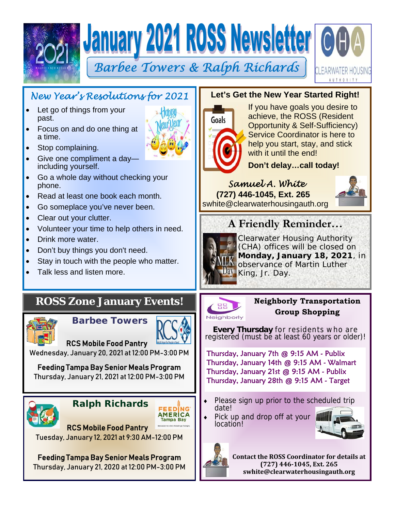





## *New Year's Resolutions for 2021*

- Let go of things from your past.
- Focus on and do one thing at a time.
- Stop complaining.
- Give one compliment a day including yourself.
- Go a whole day without checking your phone.
- Read at least one book each month.
- Go someplace you've never been.
- Clear out your clutter.
- Volunteer your time to help others in need.
- Drink more water.
- Don't buy things you don't need.
- Stay in touch with the people who matter.
- Talk less and listen more.

## **ROSS Zone January Events!**



 **Barbee Towers**



RCS Mobile Food Pantry Wednesday, January 20, 2021 at 12:00 PM-3:00 PM

Feeding Tampa Bay Senior Meals Program Thursday, January 21, 2021 at 12:00 PM-3:00 PM





Feeding Tampa Bay Senior Meals Program Thursday, January 21, 2020 at 12:00 PM-3:00 PM

#### **Let's Get the New Year Started Right!**



If you have goals you desire to achieve, the ROSS (Resident Opportunity & Self-Sufficiency) Service Coordinator is here to help you start, stay, and stick with it until the end!

**Don't delay…call today!** 

#### *Samuel A. White*   **(727) 446-1045, Ext. 265**

swhite@clearwaterhousingauth.org



# **A Friendly Reminder…**



Clearwater Housing Authority (CHA) offices will be closed on **Monday, January 18, 2021**, in observance of Martin Luther King, Jr. Day.



#### **Neighborly Transportation Group Shopping**

**Every Thursday** for residents who are registered (must be at least 60 years or older)!

Thursday, January 7th @ 9:15 AM - Publix Thursday, January 14th @ 9:15 AM - Walmart Thursday, January 21st @ 9:15 AM - Publix Thursday, January 28th @ 9:15 AM - Target

- Please sign up prior to the scheduled trip<br>date!
- Pick up and drop off at your location!





**Contact the ROSS Coordinator for details at (727) 446‐1045, Ext. 265 swhite@clearwaterhousingauth.org**